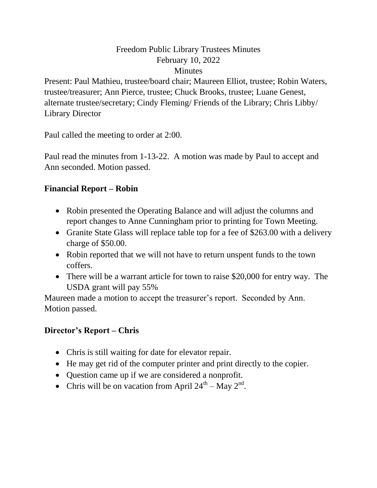# Freedom Public Library Trustees Minutes February 10, 2022 **Minutes**

Present: Paul Mathieu, trustee/board chair; Maureen Elliot, trustee; Robin Waters, trustee/treasurer; Ann Pierce, trustee; Chuck Brooks, trustee; Luane Genest, alternate trustee/secretary; Cindy Fleming/ Friends of the Library; Chris Libby/ Library Director

Paul called the meeting to order at 2:00.

Paul read the minutes from 1-13-22. A motion was made by Paul to accept and Ann seconded. Motion passed.

# **Financial Report – Robin**

- Robin presented the Operating Balance and will adjust the columns and report changes to Anne Cunningham prior to printing for Town Meeting.
- Granite State Glass will replace table top for a fee of \$263.00 with a delivery charge of \$50.00.
- Robin reported that we will not have to return unspent funds to the town coffers.
- There will be a warrant article for town to raise \$20,000 for entry way. The USDA grant will pay 55%

Maureen made a motion to accept the treasurer's report. Seconded by Ann. Motion passed.

## **Director's Report – Chris**

- Chris is still waiting for date for elevator repair.
- He may get rid of the computer printer and print directly to the copier.
- Question came up if we are considered a nonprofit.
- Chris will be on vacation from April  $24^{\text{th}} -$ May  $2^{\text{nd}}$ .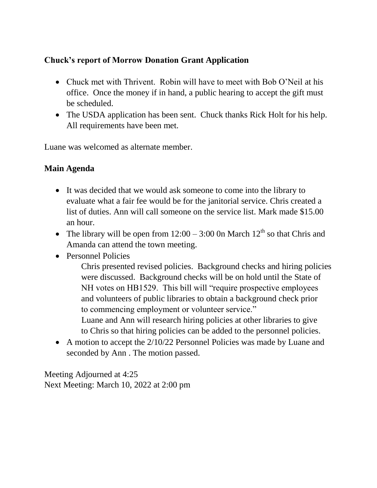## **Chuck's report of Morrow Donation Grant Application**

- Chuck met with Thrivent. Robin will have to meet with Bob O'Neil at his office. Once the money if in hand, a public hearing to accept the gift must be scheduled.
- The USDA application has been sent. Chuck thanks Rick Holt for his help. All requirements have been met.

Luane was welcomed as alternate member.

#### **Main Agenda**

- It was decided that we would ask someone to come into the library to evaluate what a fair fee would be for the janitorial service. Chris created a list of duties. Ann will call someone on the service list. Mark made \$15.00 an hour.
- The library will be open from  $12:00 3:00$  On March  $12<sup>th</sup>$  so that Chris and Amanda can attend the town meeting.
- Personnel Policies

 Chris presented revised policies. Background checks and hiring policies were discussed. Background checks will be on hold until the State of NH votes on HB1529. This bill will "require prospective employees and volunteers of public libraries to obtain a background check prior to commencing employment or volunteer service."

 Luane and Ann will research hiring policies at other libraries to give to Chris so that hiring policies can be added to the personnel policies.

• A motion to accept the 2/10/22 Personnel Policies was made by Luane and seconded by Ann . The motion passed.

Meeting Adjourned at 4:25 Next Meeting: March 10, 2022 at 2:00 pm